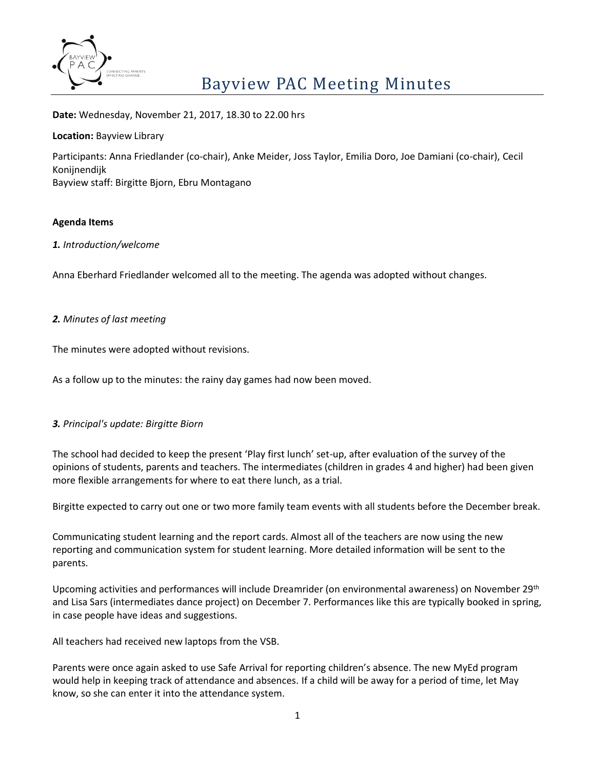

**Date:** Wednesday, November 21, 2017, 18.30 to 22.00 hrs

### **Location:** Bayview Library

Participants: Anna Friedlander (co-chair), Anke Meider, Joss Taylor, Emilia Doro, Joe Damiani (co-chair), Cecil Konijnendijk Bayview staff: Birgitte Bjorn, Ebru Montagano

# **Agenda Items**

### *1. Introduction/welcome*

Anna Eberhard Friedlander welcomed all to the meeting. The agenda was adopted without changes.

# *2. Minutes of last meeting*

The minutes were adopted without revisions.

As a follow up to the minutes: the rainy day games had now been moved.

### *3. Principal's update: Birgitte Biorn*

The school had decided to keep the present 'Play first lunch' set-up, after evaluation of the survey of the opinions of students, parents and teachers. The intermediates (children in grades 4 and higher) had been given more flexible arrangements for where to eat there lunch, as a trial.

Birgitte expected to carry out one or two more family team events with all students before the December break.

Communicating student learning and the report cards. Almost all of the teachers are now using the new reporting and communication system for student learning. More detailed information will be sent to the parents.

Upcoming activities and performances will include Dreamrider (on environmental awareness) on November 29th and Lisa Sars (intermediates dance project) on December 7. Performances like this are typically booked in spring, in case people have ideas and suggestions.

All teachers had received new laptops from the VSB.

Parents were once again asked to use Safe Arrival for reporting children's absence. The new MyEd program would help in keeping track of attendance and absences. If a child will be away for a period of time, let May know, so she can enter it into the attendance system.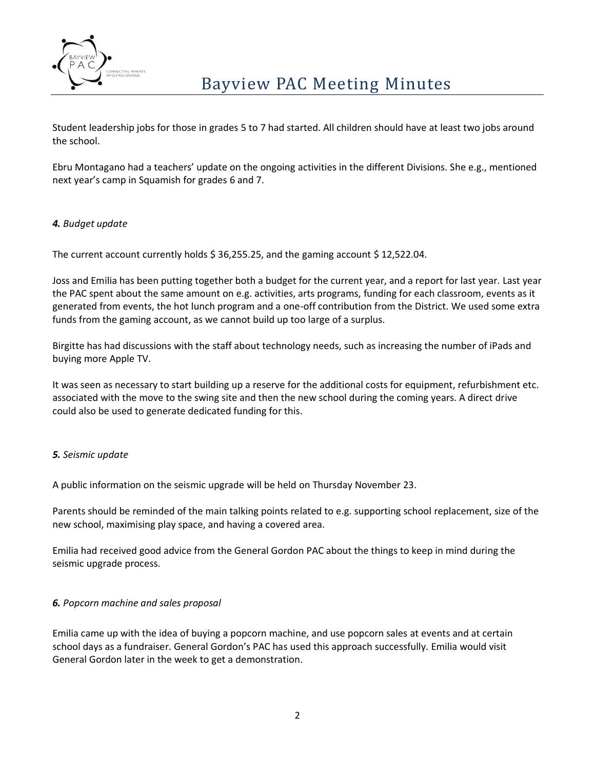

Student leadership jobs for those in grades 5 to 7 had started. All children should have at least two jobs around the school.

Ebru Montagano had a teachers' update on the ongoing activities in the different Divisions. She e.g., mentioned next year's camp in Squamish for grades 6 and 7.

# *4. Budget update*

The current account currently holds  $$36,255.25$ , and the gaming account  $$12,522.04$ .

Joss and Emilia has been putting together both a budget for the current year, and a report for last year. Last year the PAC spent about the same amount on e.g. activities, arts programs, funding for each classroom, events as it generated from events, the hot lunch program and a one-off contribution from the District. We used some extra funds from the gaming account, as we cannot build up too large of a surplus.

Birgitte has had discussions with the staff about technology needs, such as increasing the number of iPads and buying more Apple TV.

It was seen as necessary to start building up a reserve for the additional costs for equipment, refurbishment etc. associated with the move to the swing site and then the new school during the coming years. A direct drive could also be used to generate dedicated funding for this.

### *5. Seismic update*

A public information on the seismic upgrade will be held on Thursday November 23.

Parents should be reminded of the main talking points related to e.g. supporting school replacement, size of the new school, maximising play space, and having a covered area.

Emilia had received good advice from the General Gordon PAC about the things to keep in mind during the seismic upgrade process.

### *6. Popcorn machine and sales proposal*

Emilia came up with the idea of buying a popcorn machine, and use popcorn sales at events and at certain school days as a fundraiser. General Gordon's PAC has used this approach successfully. Emilia would visit General Gordon later in the week to get a demonstration.